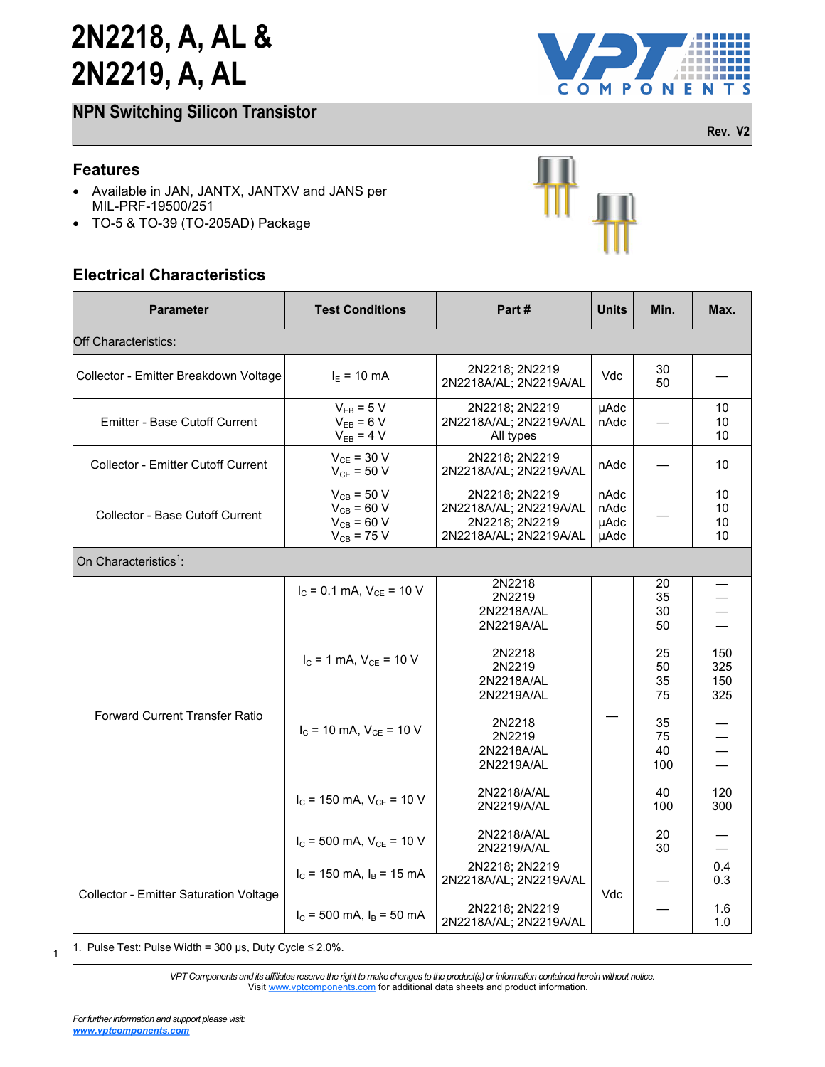**NPN Switching Silicon Transistor**



**Rev. V2**

### **Features**

- Available in JAN, JANTX, JANTXV and JANS per MIL-PRF-19500/251
- TO-5 & TO-39 (TO-205AD) Package

### **Electrical Characteristics**

| TO-5 & TO-39 (TO-205AD) Package<br>$\bullet$<br><b>Electrical Characteristics</b>          |                                                                          |                                                                                      |              |                       |                          |
|--------------------------------------------------------------------------------------------|--------------------------------------------------------------------------|--------------------------------------------------------------------------------------|--------------|-----------------------|--------------------------|
| <b>Parameter</b>                                                                           | <b>Test Conditions</b>                                                   | Part#                                                                                | <b>Units</b> | Min.                  | Max.                     |
| <b>Off Characteristics:</b>                                                                |                                                                          |                                                                                      |              |                       |                          |
| Collector - Emitter Breakdown Voltage                                                      | $I_{E}$ = 10 mA                                                          | 2N2218; 2N2219<br>2N2218A/AL; 2N2219A/AL                                             | Vdc          | 30<br>50              |                          |
| $V_{EB} = 5 V$<br>$V_{EB} = 6 V$<br><b>Emitter - Base Cutoff Current</b><br>$V_{EB} = 4 V$ |                                                                          | 2N2218; 2N2219<br>2N2218A/AL; 2N2219A/AL<br>All types                                | µAdc<br>nAdc |                       | 10<br>10<br>10           |
| <b>Collector - Emitter Cutoff Current</b>                                                  | $V_{CE}$ = 30 V<br>$V_{CE}$ = 50 V                                       | 2N2218; 2N2219<br>2N2218A/AL; 2N2219A/AL                                             |              |                       | 10                       |
| <b>Collector - Base Cutoff Current</b>                                                     | $V_{CB}$ = 50 V<br>$V_{CB}$ = 60 V<br>$V_{CB}$ = 60 V<br>$V_{CB}$ = 75 V | 2N2218: 2N2219<br>2N2218A/AL; 2N2219A/AL<br>2N2218; 2N2219<br>2N2218A/AL; 2N2219A/AL |              |                       | 10<br>10<br>10<br>10     |
| On Characteristics <sup>1</sup> :                                                          |                                                                          |                                                                                      |              |                       |                          |
| <b>Forward Current Transfer Ratio</b>                                                      | $I_C = 0.1$ mA, $V_{CE} = 10$ V                                          | 2N2218<br>2N2219<br>2N2218A/AL<br>2N2219A/AL                                         |              | 20<br>35<br>30<br>50  |                          |
|                                                                                            | $I_c = 1$ mA, $V_{CE} = 10$ V                                            | 2N2218<br>2N2219<br>2N2218A/AL<br>2N2219A/AL                                         |              | 25<br>50<br>35<br>75  | 150<br>325<br>150<br>325 |
|                                                                                            | $I_C$ = 10 mA, $V_{CE}$ = 10 V                                           | 2N2218<br>2N2219<br>2N2218A/AL<br>2N2219A/AL                                         |              | 35<br>75<br>40<br>100 |                          |
|                                                                                            | $I_C$ = 150 mA, $V_{CE}$ = 10 V                                          | 2N2218/A/AL<br>2N2219/A/AL                                                           |              | 40<br>100             | 120<br>300               |
|                                                                                            | $I_C$ = 500 mA, $V_{CE}$ = 10 V                                          | 2N2218/A/AL<br>2N2219/A/AL                                                           |              | 20<br>30              |                          |
| Collector - Emitter Saturation Voltage                                                     | $I_C$ = 150 mA, $I_B$ = 15 mA                                            | 2N2218; 2N2219<br>2N2218A/AL; 2N2219A/AL                                             | Vdc          |                       | 0.4<br>0.3               |
|                                                                                            | $I_c$ = 500 mA, $I_B$ = 50 mA                                            | 2N2218; 2N2219<br>2N2218A/AL; 2N2219A/AL                                             |              |                       | 1.6<br>1.0               |

> *VPT Components and its affiliates reserve the right to make changes to the product(s) or information contained herein without notice.*  Visit [www.vptcomponents.com](http://www.vptcomponents.com) for additional data sheets and product information.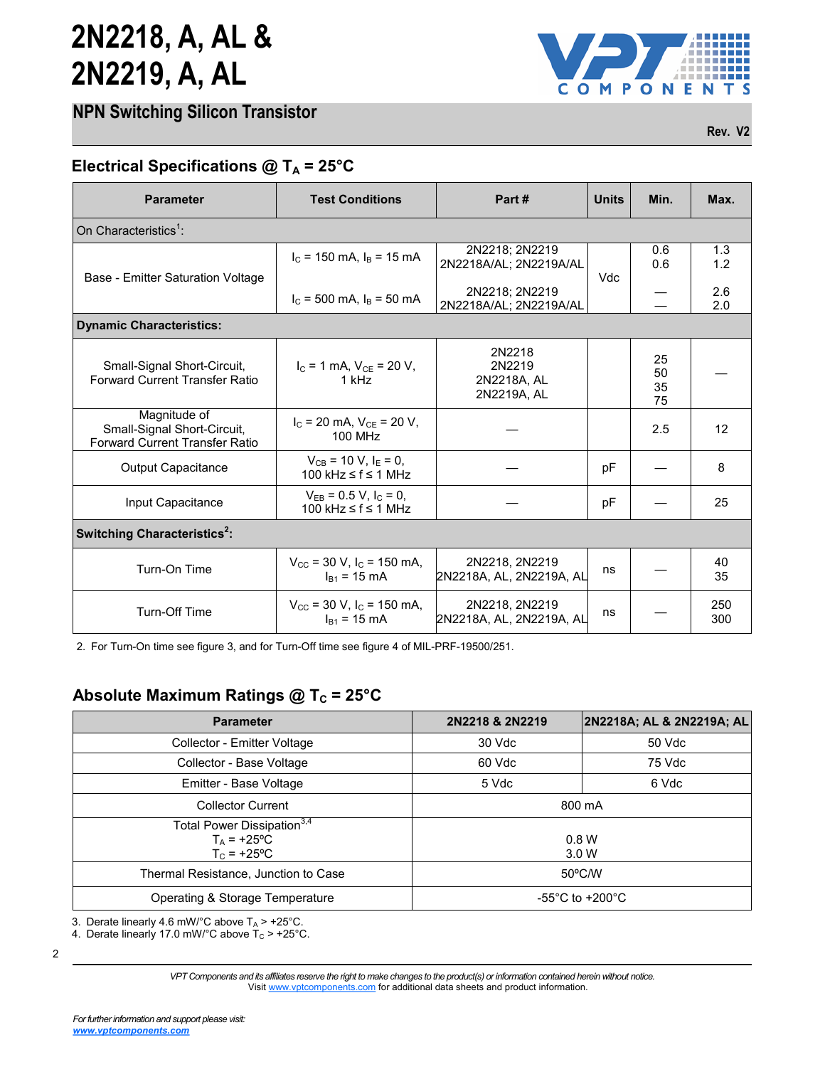|  | <b>NPN Switching Silicon Transistor</b> |
|--|-----------------------------------------|
|  |                                         |



**Rev. V2**

### **Electrical Specifications @ T<sup>A</sup> = 25°C**

| <b>Parameter</b>                                                                     | <b>Test Conditions</b>                                                                                             | Part#                                          | <b>Units</b> | Min.                 | Max.       |  |
|--------------------------------------------------------------------------------------|--------------------------------------------------------------------------------------------------------------------|------------------------------------------------|--------------|----------------------|------------|--|
| On Characteristics <sup>1</sup> :                                                    |                                                                                                                    |                                                |              |                      |            |  |
| Base - Emitter Saturation Voltage                                                    | $I_c$ = 150 mA, $I_B$ = 15 mA                                                                                      | 2N2218; 2N2219<br>2N2218A/AL; 2N2219A/AL       | Vdc          | 0.6<br>0.6           | 1.3<br>1.2 |  |
|                                                                                      | $I_C$ = 500 mA, $I_B$ = 50 mA                                                                                      | 2N2218; 2N2219<br>2N2218A/AL; 2N2219A/AL       |              |                      | 2.6<br>2.0 |  |
| <b>Dynamic Characteristics:</b>                                                      |                                                                                                                    |                                                |              |                      |            |  |
| Small-Signal Short-Circuit,<br><b>Forward Current Transfer Ratio</b>                 | $I_C = 1$ mA, $V_{CE} = 20$ V,<br>1 kHz                                                                            | 2N2218<br>2N2219<br>2N2218A, AL<br>2N2219A, AL |              | 25<br>50<br>35<br>75 |            |  |
| Magnitude of<br>Small-Signal Short-Circuit,<br><b>Forward Current Transfer Ratio</b> | $I_C$ = 20 mA, $V_{CE}$ = 20 V,<br>100 MHz                                                                         |                                                |              | 2.5                  | 12         |  |
| <b>Output Capacitance</b>                                                            | $V_{CB}$ = 10 V, $I_E$ = 0,<br>100 kHz ≤ f ≤ 1 MHz                                                                 |                                                | pF           |                      | 8          |  |
| Input Capacitance                                                                    | $V_{EB} = 0.5 V, I_C = 0$ ,<br>100 kHz $\leq$ f $\leq$ 1 MHz                                                       |                                                | pF           |                      | 25         |  |
| Switching Characteristics <sup>2</sup> :                                             |                                                                                                                    |                                                |              |                      |            |  |
| Turn-On Time                                                                         | $V_{\text{CC}}$ = 30 V, I <sub>C</sub> = 150 mA,<br>$I_{B1}$ = 15 mA                                               | 2N2218, 2N2219<br>2N2218A, AL, 2N2219A, AL     | ns           |                      | 40<br>35   |  |
| Turn-Off Time                                                                        | 2N2218, 2N2219<br>$V_{\text{CC}}$ = 30 V, I <sub>C</sub> = 150 mA,<br>2N2218A, AL, 2N2219A, AL<br>$I_{B1}$ = 15 mA |                                                | ns           |                      | 250<br>300 |  |

2. For Turn-On time see figure 3, and for Turn-Off time see figure 4 of MIL-PRF-19500/251.

| <b>Parameter</b>                                                                   | 2N2218 & 2N2219                     | 2N2218A; AL & 2N2219A; AL |  |
|------------------------------------------------------------------------------------|-------------------------------------|---------------------------|--|
| Collector - Emitter Voltage                                                        | 30 Vdc                              | 50 Vdc                    |  |
| Collector - Base Voltage                                                           | 60 Vdc                              | 75 Vdc                    |  |
| Emitter - Base Voltage                                                             | 5 Vdc                               | 6 Vdc                     |  |
| <b>Collector Current</b>                                                           | 800 mA                              |                           |  |
| Total Power Dissipation <sup>3,4</sup><br>$T_{\text{A}}$ = +25°C<br>$T_c = +25$ °C | 0.8 W<br>3.0 W                      |                           |  |
| Thermal Resistance, Junction to Case                                               | 50°C/W                              |                           |  |
| Operating & Storage Temperature                                                    | $-55^{\circ}$ C to $+200^{\circ}$ C |                           |  |
| 3. Derate linearly 4.6 mW/°C above $T_A > +25$ °C.                                 |                                     |                           |  |
| 4. Derate linearly 17.0 mW/°C above $T_c > +25$ °C.                                |                                     |                           |  |

2

*VPT Components and its affiliates reserve the right to make changes to the product(s) or information contained herein without notice.*  Visit [www.vptcomponents.com](http://www.vptcomponents.com) for additional data sheets and product information.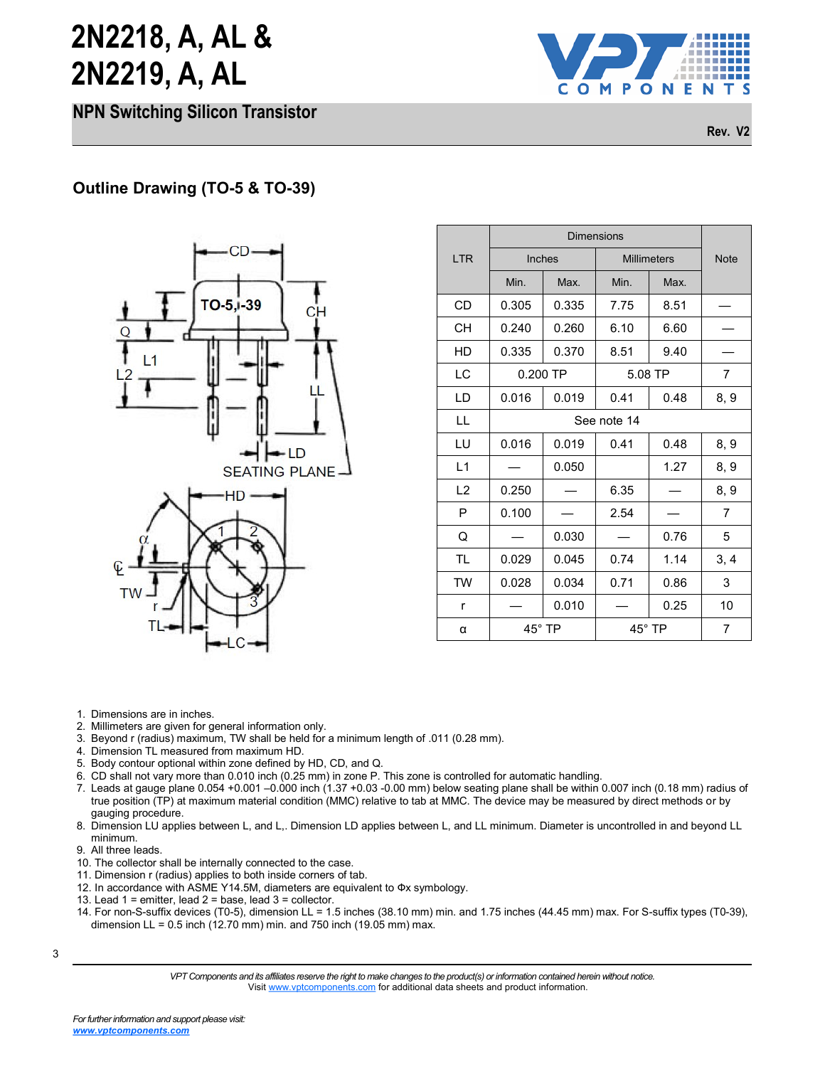**NPN Switching Silicon Transistor**



**Rev. V2**



|            | <b>Dimensions</b> |            |                    |         |             |  |
|------------|-------------------|------------|--------------------|---------|-------------|--|
| <b>LTR</b> | Inches            |            | <b>Millimeters</b> |         | <b>Note</b> |  |
|            | Min.              | Max.       | Min.               | Max.    |             |  |
| <b>CD</b>  | 0.305             | 0.335      | 7.75               | 8.51    |             |  |
| <b>CH</b>  | 0.240             | 0.260      | 6.10               | 6.60    |             |  |
| HD         | 0.335             | 0.370      | 8.51               | 9.40    |             |  |
| LC         |                   | $0.200$ TP |                    | 5.08 TP |             |  |
| LD         | 0.016             | 0.019      | 0.41               | 0.48    | 8, 9        |  |
| LL         | See note 14       |            |                    |         |             |  |
| LU         | 0.016             | 0.019      | 0.41               | 0.48    | 8, 9        |  |
| L1         |                   | 0.050      |                    | 1.27    | 8, 9        |  |
| L2         | 0.250             |            | 6.35               |         | 8, 9        |  |
| P          | 0.100             |            | 2.54               |         | 7           |  |
| Q          |                   | 0.030      |                    | 0.76    | 5           |  |
| <b>TL</b>  | 0.029             | 0.045      | 0.74               | 1.14    | 3, 4        |  |
| TW         | 0.028             | 0.034      | 0.71               | 0.86    | 3           |  |
| r          |                   | 0.010      |                    | 0.25    | 10          |  |
| α          | $45^{\circ}$ TP   |            | $45^{\circ}$ TP    |         | 7           |  |

- 1. Dimensions are in inches.
- 2. Millimeters are given for general information only.
- 3. Beyond r (radius) maximum, TW shall be held for a minimum length of .011 (0.28 mm).
- 4. Dimension TL measured from maximum HD.
- 5. Body contour optional within zone defined by HD, CD, and Q.
- 6. CD shall not vary more than 0.010 inch (0.25 mm) in zone P. This zone is controlled for automatic handling.
- 7. Leads at gauge plane 0.054 +0.001 –0.000 inch (1.37 +0.03 -0.00 mm) below seating plane shall be within 0.007 inch (0.18 mm) radius of true position (TP) at maximum material condition (MMC) relative to tab at MMC. The device may be measured by direct methods or by gauging procedure.
- 8. Dimension LU applies between L, and L,. Dimension LD applies between L, and LL minimum. Diameter is uncontrolled in and beyond LL minimum.
- 9. All three leads.
- 10. The collector shall be internally connected to the case.
- 11. Dimension r (radius) applies to both inside corners of tab.
- 12. In accordance with ASME Y14.5M, diameters are equivalent to Фx symbology.
- 13. Lead 1 = emitter, lead 2 = base, lead 3 = collector.
- 14. For non-S-suffix devices (T0-5), dimension LL = 1.5 inches (38.10 mm) min. and 1.75 inches (44.45 mm) max. For S-suffix types (T0-39), dimension LL =  $0.5$  inch (12.70 mm) min. and 750 inch (19.05 mm) max.

<sup>3</sup>

*VPT Components and its affiliates reserve the right to make changes to the product(s) or information contained herein without notice.*  Visit [www.vptcomponents.com](http://www.vptcomponents.com) for additional data sheets and product information.